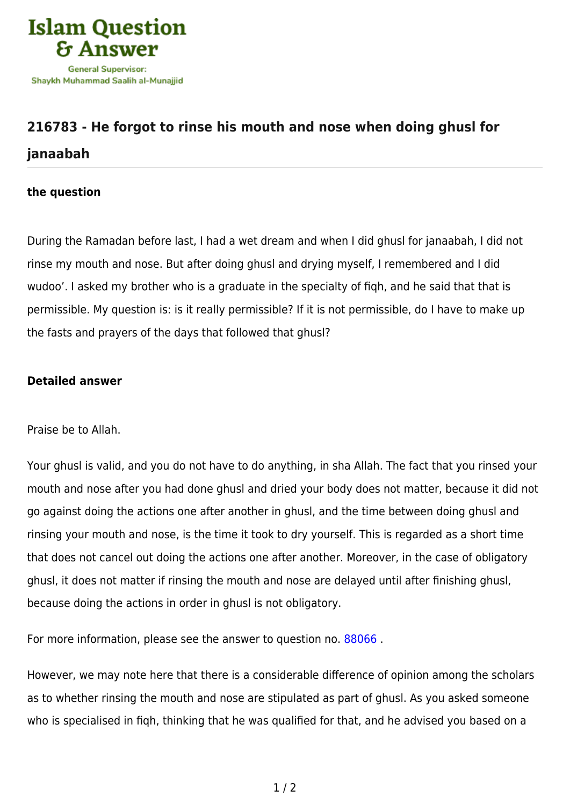

## **[216783 - He forgot to rinse his mouth and nose when doing ghusl for](https://islamqa.com/en/answers/216783/he-forgot-to-rinse-his-mouth-and-nose-when-doing-ghusl-for-janaabah) [janaabah](https://islamqa.com/en/answers/216783/he-forgot-to-rinse-his-mouth-and-nose-when-doing-ghusl-for-janaabah)**

## **the question**

During the Ramadan before last, I had a wet dream and when I did ghusl for janaabah, I did not rinse my mouth and nose. But after doing ghusl and drying myself, I remembered and I did wudoo'. I asked my brother who is a graduate in the specialty of fiqh, and he said that that is permissible. My question is: is it really permissible? If it is not permissible, do I have to make up the fasts and prayers of the days that followed that ghusl?

## **Detailed answer**

Praise be to Allah.

Your ghusl is valid, and you do not have to do anything, in sha Allah. The fact that you rinsed your mouth and nose after you had done ghusl and dried your body does not matter, because it did not go against doing the actions one after another in ghusl, and the time between doing ghusl and rinsing your mouth and nose, is the time it took to dry yourself. This is regarded as a short time that does not cancel out doing the actions one after another. Moreover, in the case of obligatory ghusl, it does not matter if rinsing the mouth and nose are delayed until after finishing ghusl, because doing the actions in order in ghusl is not obligatory.

For more information, please see the answer to question no. [88066](https://islamqa.com/en/answers/88066) .

However, we may note here that there is a considerable difference of opinion among the scholars as to whether rinsing the mouth and nose are stipulated as part of ghusl. As you asked someone who is specialised in fiqh, thinking that he was qualified for that, and he advised you based on a